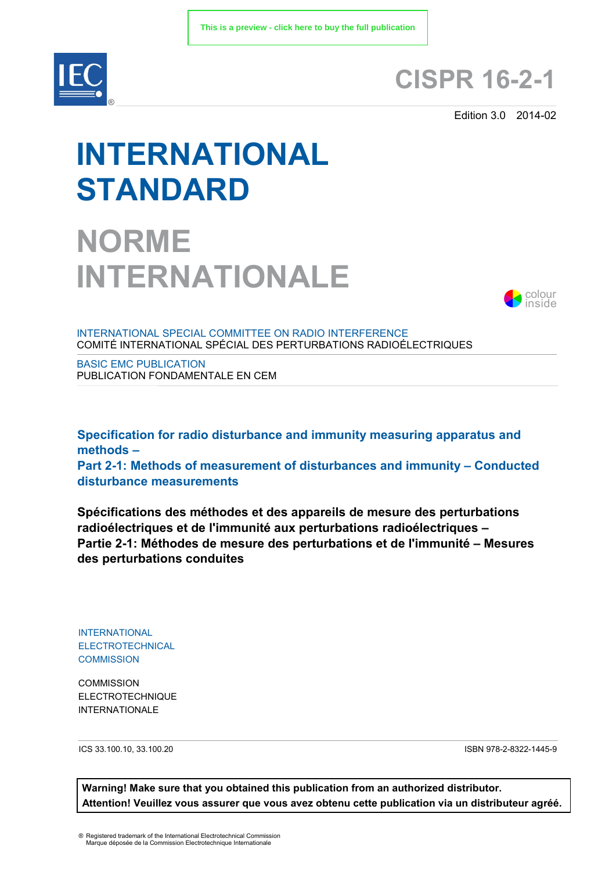

## **CISPR 16-2-1**

Edition 3.0 2014-02

# **INTERNATIONAL STANDARD**

## **NORME INTERNATIONALE**



INTERNATIONAL SPECIAL COMMITTEE ON RADIO INTERFERENCE COMITÉ INTERNATIONAL SPÉCIAL DES PERTURBATIONS RADIOÉLECTRIQUES

BASIC EMC PUBLICATION PUBLICATION FONDAMENTALE EN CEM

**Specification for radio disturbance and immunity measuring apparatus and methods – Part 2-1: Methods of measurement of disturbances and immunity – Conducted disturbance measurements**

**Spécifications des méthodes et des appareils de mesure des perturbations radioélectriques et de l'immunité aux perturbations radioélectriques – Partie 2-1: Méthodes de mesure des perturbations et de l'immunité – Mesures des perturbations conduites**

INTERNATIONAL ELECTROTECHNICAL **COMMISSION** 

**COMMISSION** ELECTROTECHNIQUE **INTERNATIONALE** 

ICS 33.100.10, 33.100.20

ISBN 978-2-8322-1445-9

**Warning! Make sure that you obtained this publication from an authorized distributor. Attention! Veuillez vous assurer que vous avez obtenu cette publication via un distributeur agréé.**

® Registered trademark of the International Electrotechnical Commission Marque déposée de la Commission Electrotechnique Internationale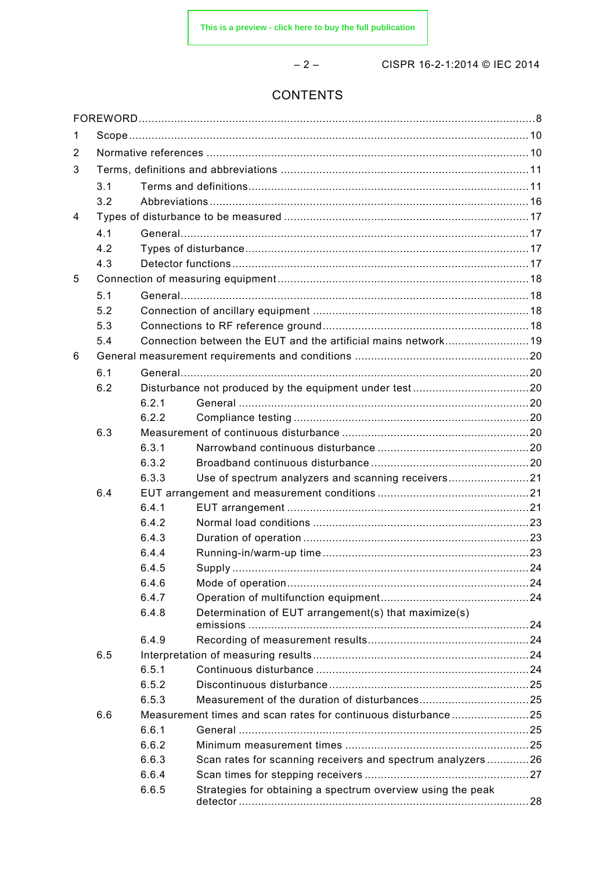– 2 – CISPR 16-2-1:2014 © IEC 2014

### CONTENTS

| 1 |     |       |                                                                |  |  |  |  |
|---|-----|-------|----------------------------------------------------------------|--|--|--|--|
| 2 |     |       |                                                                |  |  |  |  |
| 3 |     |       |                                                                |  |  |  |  |
|   | 3.1 |       |                                                                |  |  |  |  |
|   | 3.2 |       |                                                                |  |  |  |  |
| 4 |     |       |                                                                |  |  |  |  |
|   | 4.1 |       |                                                                |  |  |  |  |
|   | 4.2 |       |                                                                |  |  |  |  |
|   | 4.3 |       |                                                                |  |  |  |  |
| 5 |     |       |                                                                |  |  |  |  |
|   | 5.1 |       |                                                                |  |  |  |  |
|   | 5.2 |       |                                                                |  |  |  |  |
|   | 5.3 |       |                                                                |  |  |  |  |
|   | 5.4 |       | Connection between the EUT and the artificial mains network 19 |  |  |  |  |
| 6 |     |       |                                                                |  |  |  |  |
|   | 6.1 |       |                                                                |  |  |  |  |
|   | 6.2 |       |                                                                |  |  |  |  |
|   |     | 6.2.1 |                                                                |  |  |  |  |
|   |     | 6.2.2 |                                                                |  |  |  |  |
|   | 6.3 |       |                                                                |  |  |  |  |
|   |     | 6.3.1 |                                                                |  |  |  |  |
|   |     | 6.3.2 |                                                                |  |  |  |  |
|   |     | 6.3.3 | Use of spectrum analyzers and scanning receivers21             |  |  |  |  |
|   | 6.4 |       |                                                                |  |  |  |  |
|   |     | 6.4.1 |                                                                |  |  |  |  |
|   |     | 6.4.2 |                                                                |  |  |  |  |
|   |     | 6.4.3 |                                                                |  |  |  |  |
|   |     | 6.4.4 |                                                                |  |  |  |  |
|   |     | 6.4.5 |                                                                |  |  |  |  |
|   |     | 6.4.6 |                                                                |  |  |  |  |
|   |     | 6.4.7 |                                                                |  |  |  |  |
|   |     | 6.4.8 | Determination of EUT arrangement(s) that maximize(s)           |  |  |  |  |
|   |     | 6.4.9 |                                                                |  |  |  |  |
|   | 6.5 |       |                                                                |  |  |  |  |
|   |     | 6.5.1 |                                                                |  |  |  |  |
|   |     | 6.5.2 |                                                                |  |  |  |  |
|   |     | 6.5.3 |                                                                |  |  |  |  |
|   | 6.6 |       | Measurement times and scan rates for continuous disturbance25  |  |  |  |  |
|   |     | 6.6.1 |                                                                |  |  |  |  |
|   |     | 6.6.2 |                                                                |  |  |  |  |
|   |     | 6.6.3 | Scan rates for scanning receivers and spectrum analyzers26     |  |  |  |  |
|   |     | 6.6.4 |                                                                |  |  |  |  |
|   |     | 6.6.5 | Strategies for obtaining a spectrum overview using the peak    |  |  |  |  |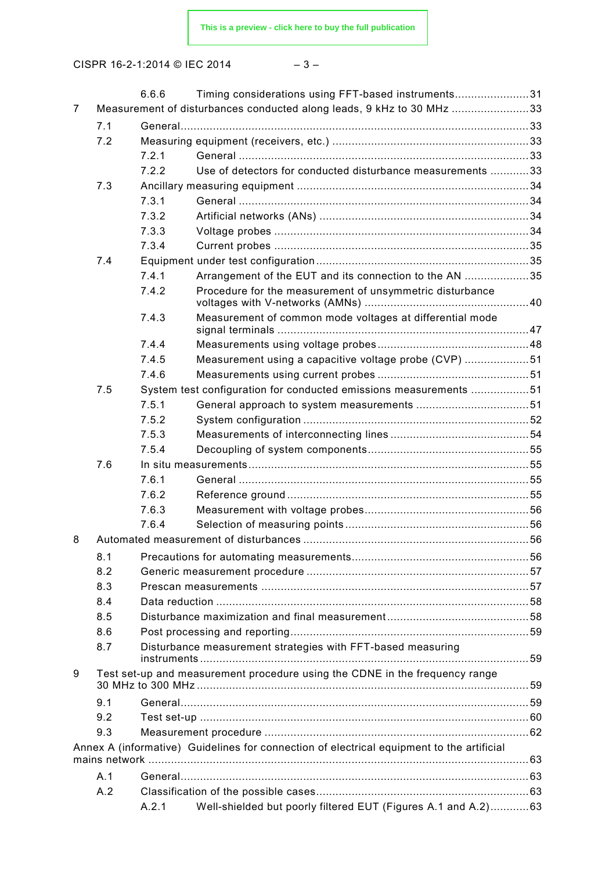$$
-\;3\;-\;
$$

|                |     | 6.6.6 | Timing considerations using FFT-based instruments31                                       |  |
|----------------|-----|-------|-------------------------------------------------------------------------------------------|--|
| $\overline{7}$ |     |       | Measurement of disturbances conducted along leads, 9 kHz to 30 MHz 33                     |  |
|                | 7.1 |       |                                                                                           |  |
|                | 7.2 |       |                                                                                           |  |
|                |     | 7.2.1 |                                                                                           |  |
|                |     | 7.2.2 | Use of detectors for conducted disturbance measurements 33                                |  |
|                | 7.3 |       |                                                                                           |  |
|                |     | 7.3.1 |                                                                                           |  |
|                |     | 7.3.2 |                                                                                           |  |
|                |     | 7.3.3 |                                                                                           |  |
|                |     | 7.3.4 |                                                                                           |  |
|                | 7.4 |       |                                                                                           |  |
|                |     | 7.4.1 | Arrangement of the EUT and its connection to the AN 35                                    |  |
|                |     | 7.4.2 | Procedure for the measurement of unsymmetric disturbance                                  |  |
|                |     | 7.4.3 | Measurement of common mode voltages at differential mode                                  |  |
|                |     | 7.4.4 |                                                                                           |  |
|                |     | 7.4.5 | Measurement using a capacitive voltage probe (CVP) 51                                     |  |
|                |     | 7.4.6 |                                                                                           |  |
|                | 7.5 |       | System test configuration for conducted emissions measurements 51                         |  |
|                |     | 7.5.1 |                                                                                           |  |
|                |     | 7.5.2 |                                                                                           |  |
|                |     | 7.5.3 |                                                                                           |  |
|                |     | 7.5.4 |                                                                                           |  |
|                | 7.6 |       |                                                                                           |  |
|                |     | 7.6.1 |                                                                                           |  |
|                |     | 7.6.2 |                                                                                           |  |
|                |     | 7.6.3 |                                                                                           |  |
|                |     | 7.6.4 |                                                                                           |  |
| 8              |     |       |                                                                                           |  |
|                | 8.1 |       |                                                                                           |  |
|                | 8.2 |       |                                                                                           |  |
|                | 8.3 |       |                                                                                           |  |
|                | 8.4 |       |                                                                                           |  |
|                | 8.5 |       |                                                                                           |  |
|                | 8.6 |       |                                                                                           |  |
|                | 8.7 |       | Disturbance measurement strategies with FFT-based measuring                               |  |
| 9              |     |       | Test set-up and measurement procedure using the CDNE in the frequency range               |  |
|                | 9.1 |       |                                                                                           |  |
|                | 9.2 |       |                                                                                           |  |
|                | 9.3 |       |                                                                                           |  |
|                |     |       | Annex A (informative) Guidelines for connection of electrical equipment to the artificial |  |
|                | A.1 |       |                                                                                           |  |
|                | A.2 |       |                                                                                           |  |
|                |     | A.2.1 | Well-shielded but poorly filtered EUT (Figures A.1 and A.2) 63                            |  |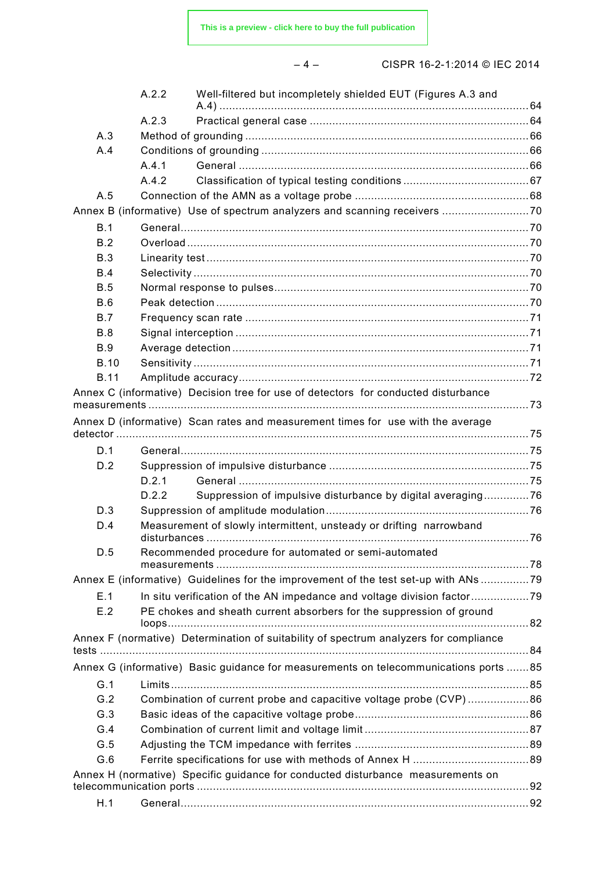**[This is a preview - click here to buy the full publication](https://webstore.iec.ch/publication/40&preview)**

– 4 – CISPR 16-2-1:2014 © IEC 2014

|             | A.2.2 | Well-filtered but incompletely shielded EUT (Figures A.3 and                          |  |
|-------------|-------|---------------------------------------------------------------------------------------|--|
|             | A.2.3 |                                                                                       |  |
| A.3         |       |                                                                                       |  |
| A.4         |       |                                                                                       |  |
|             | A.4.1 |                                                                                       |  |
|             | A.4.2 |                                                                                       |  |
| A.5         |       |                                                                                       |  |
|             |       |                                                                                       |  |
| B.1         |       |                                                                                       |  |
| B.2         |       |                                                                                       |  |
| <b>B.3</b>  |       |                                                                                       |  |
| B.4         |       |                                                                                       |  |
| B.5         |       |                                                                                       |  |
| B.6         |       |                                                                                       |  |
| B.7         |       |                                                                                       |  |
| B.8         |       |                                                                                       |  |
| <b>B.9</b>  |       |                                                                                       |  |
| <b>B.10</b> |       |                                                                                       |  |
| <b>B.11</b> |       |                                                                                       |  |
|             |       | Annex C (informative) Decision tree for use of detectors for conducted disturbance    |  |
|             |       | Annex D (informative) Scan rates and measurement times for use with the average       |  |
|             |       |                                                                                       |  |
| D.1         |       |                                                                                       |  |
| D.2         |       |                                                                                       |  |
|             | D.2.1 |                                                                                       |  |
|             | D.2.2 | Suppression of impulsive disturbance by digital averaging76                           |  |
| D.3         |       |                                                                                       |  |
| D.4         |       | Measurement of slowly intermittent, unsteady or drifting narrowband                   |  |
| D.5         |       | Recommended procedure for automated or semi-automated                                 |  |
|             |       | Annex E (informative) Guidelines for the improvement of the test set-up with ANs 79   |  |
| E.1         |       | In situ verification of the AN impedance and voltage division factor                  |  |
| E.2         |       | PE chokes and sheath current absorbers for the suppression of ground                  |  |
|             |       | Annex F (normative) Determination of suitability of spectrum analyzers for compliance |  |
|             |       | Annex G (informative) Basic guidance for measurements on telecommunications ports 85  |  |
| G.1         |       |                                                                                       |  |
| G.2         |       | Combination of current probe and capacitive voltage probe (CVP)86                     |  |
| G.3         |       |                                                                                       |  |
| G.4         |       |                                                                                       |  |
| G.5         |       |                                                                                       |  |
| G.6         |       |                                                                                       |  |
|             |       | Annex H (normative) Specific guidance for conducted disturbance measurements on       |  |
| H.1         |       |                                                                                       |  |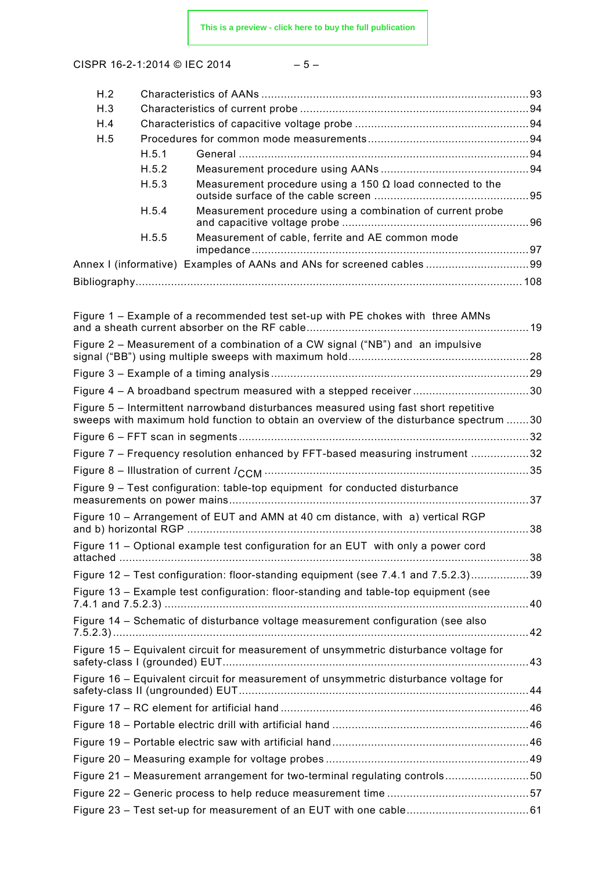$$
-5- \nonumber\\
$$

| H.2 |       |                                                                                        |  |
|-----|-------|----------------------------------------------------------------------------------------|--|
| H.3 |       |                                                                                        |  |
| H.4 |       |                                                                                        |  |
| H.5 |       |                                                                                        |  |
|     | H.5.1 |                                                                                        |  |
|     | H.5.2 |                                                                                        |  |
|     | H.5.3 | Measurement procedure using a 150 $\Omega$ load connected to the                       |  |
|     | H.5.4 | Measurement procedure using a combination of current probe                             |  |
|     | H.5.5 | Measurement of cable, ferrite and AE common mode                                       |  |
|     |       |                                                                                        |  |
|     |       |                                                                                        |  |
|     |       |                                                                                        |  |
|     |       | Figure 1 - Example of a recommended test set-up with PE chokes with three AMNs         |  |
|     |       | Figure 2 – Measurement of a combination of a CW signal ("NB") and an impulsive         |  |
|     |       |                                                                                        |  |
|     |       |                                                                                        |  |
|     |       | Figure 5 – Intermittent narrowband disturbances measured using fast short repetitive   |  |
|     |       | sweeps with maximum hold function to obtain an overview of the disturbance spectrum 30 |  |
|     |       |                                                                                        |  |
|     |       | Figure 7 - Frequency resolution enhanced by FFT-based measuring instrument 32          |  |
|     |       |                                                                                        |  |
|     |       | Figure 9 - Test configuration: table-top equipment for conducted disturbance           |  |
|     |       |                                                                                        |  |
|     |       | Figure 10 – Arrangement of EUT and AMN at 40 cm distance, with a) vertical RGP         |  |
|     |       | Figure 11 - Optional example test configuration for an EUT with only a power cord      |  |
|     |       | Figure 12 - Test configuration: floor-standing equipment (see 7.4.1 and 7.5.2.3)39     |  |
|     |       | Figure 13 – Example test configuration: floor-standing and table-top equipment (see    |  |
|     |       | Figure 14 - Schematic of disturbance voltage measurement configuration (see also       |  |
|     |       | Figure 15 - Equivalent circuit for measurement of unsymmetric disturbance voltage for  |  |
|     |       | Figure 16 – Equivalent circuit for measurement of unsymmetric disturbance voltage for  |  |
|     |       |                                                                                        |  |
|     |       |                                                                                        |  |
|     |       |                                                                                        |  |
|     |       |                                                                                        |  |
|     |       |                                                                                        |  |
|     |       | Figure 21 - Measurement arrangement for two-terminal regulating controls50             |  |
|     |       |                                                                                        |  |
|     |       |                                                                                        |  |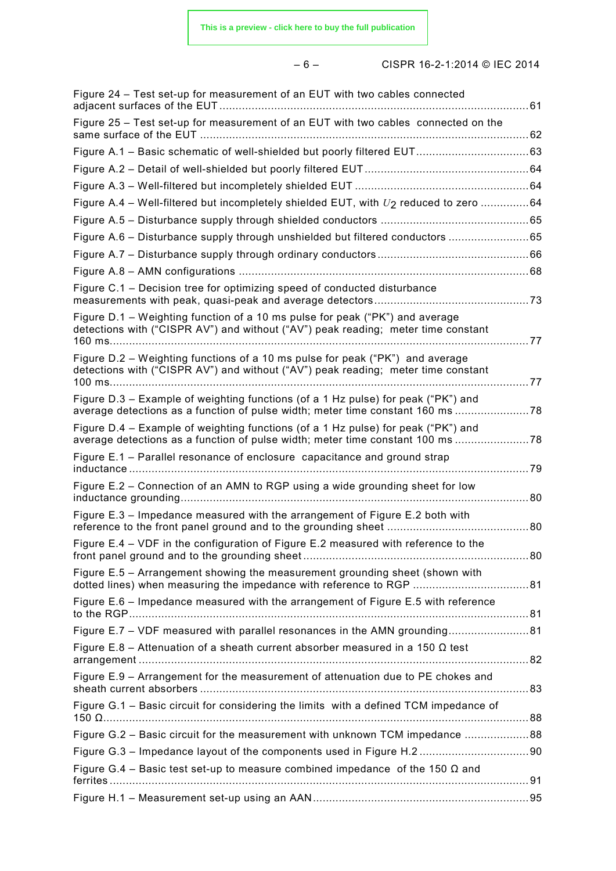|--|--|

– 6 – CISPR 16-2-1:2014 © IEC 2014

| Figure 24 - Test set-up for measurement of an EUT with two cables connected                                                                                         |  |
|---------------------------------------------------------------------------------------------------------------------------------------------------------------------|--|
| Figure 25 - Test set-up for measurement of an EUT with two cables connected on the                                                                                  |  |
|                                                                                                                                                                     |  |
|                                                                                                                                                                     |  |
|                                                                                                                                                                     |  |
| Figure A.4 – Well-filtered but incompletely shielded EUT, with $U_2$ reduced to zero 64                                                                             |  |
|                                                                                                                                                                     |  |
| Figure A.6 - Disturbance supply through unshielded but filtered conductors 65                                                                                       |  |
|                                                                                                                                                                     |  |
|                                                                                                                                                                     |  |
| Figure C.1 – Decision tree for optimizing speed of conducted disturbance                                                                                            |  |
| Figure D.1 – Weighting function of a 10 ms pulse for peak ("PK") and average<br>detections with ("CISPR AV") and without ("AV") peak reading; meter time constant   |  |
| Figure D.2 – Weighting functions of a 10 ms pulse for peak ("PK") and average<br>detections with ("CISPR AV") and without ("AV") peak reading; meter time constant  |  |
| Figure D.3 – Example of weighting functions (of a 1 Hz pulse) for peak ("PK") and<br>average detections as a function of pulse width; meter time constant 160 ms    |  |
| Figure D.4 – Example of weighting functions (of a 1 Hz pulse) for peak ("PK") and<br>average detections as a function of pulse width; meter time constant 100 ms 78 |  |
| Figure E.1 - Parallel resonance of enclosure capacitance and ground strap                                                                                           |  |
| Figure E.2 - Connection of an AMN to RGP using a wide grounding sheet for low                                                                                       |  |
| Figure E.3 – Impedance measured with the arrangement of Figure E.2 both with                                                                                        |  |
| Figure E.4 – VDF in the configuration of Figure E.2 measured with reference to the                                                                                  |  |
| Figure E.5 - Arrangement showing the measurement grounding sheet (shown with                                                                                        |  |
| Figure E.6 - Impedance measured with the arrangement of Figure E.5 with reference                                                                                   |  |
| Figure E.7 - VDF measured with parallel resonances in the AMN grounding81                                                                                           |  |
| Figure E.8 – Attenuation of a sheath current absorber measured in a 150 $\Omega$ test                                                                               |  |
| Figure E.9 - Arrangement for the measurement of attenuation due to PE chokes and                                                                                    |  |
| Figure G.1 - Basic circuit for considering the limits with a defined TCM impedance of                                                                               |  |
| Figure G.2 - Basic circuit for the measurement with unknown TCM impedance 88                                                                                        |  |
|                                                                                                                                                                     |  |
| Figure G.4 – Basic test set-up to measure combined impedance of the 150 $\Omega$ and                                                                                |  |
|                                                                                                                                                                     |  |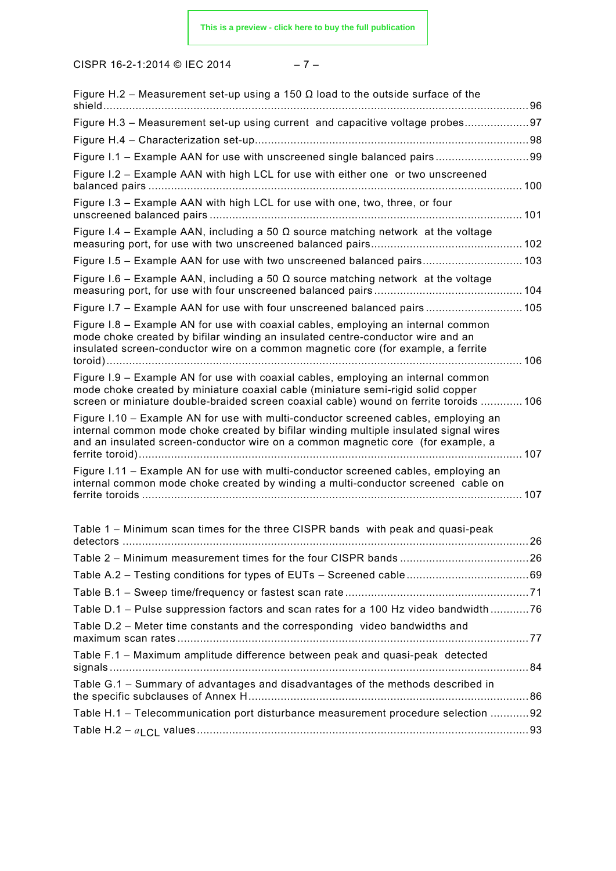$$
-\;7\;-\;
$$

| Figure H.2 – Measurement set-up using a 150 $\Omega$ load to the outside surface of the                                                                                                                                                                          |  |
|------------------------------------------------------------------------------------------------------------------------------------------------------------------------------------------------------------------------------------------------------------------|--|
| Figure H.3 - Measurement set-up using current and capacitive voltage probes97                                                                                                                                                                                    |  |
|                                                                                                                                                                                                                                                                  |  |
|                                                                                                                                                                                                                                                                  |  |
| Figure I.2 - Example AAN with high LCL for use with either one or two unscreened                                                                                                                                                                                 |  |
| Figure I.3 - Example AAN with high LCL for use with one, two, three, or four                                                                                                                                                                                     |  |
| Figure I.4 – Example AAN, including a 50 $\Omega$ source matching network at the voltage                                                                                                                                                                         |  |
| Figure I.5 - Example AAN for use with two unscreened balanced pairs 103                                                                                                                                                                                          |  |
| Figure I.6 – Example AAN, including a 50 $\Omega$ source matching network at the voltage                                                                                                                                                                         |  |
| Figure I.7 - Example AAN for use with four unscreened balanced pairs 105                                                                                                                                                                                         |  |
| Figure I.8 – Example AN for use with coaxial cables, employing an internal common<br>mode choke created by bifilar winding an insulated centre-conductor wire and an<br>insulated screen-conductor wire on a common magnetic core (for example, a ferrite        |  |
| Figure I.9 – Example AN for use with coaxial cables, employing an internal common<br>mode choke created by miniature coaxial cable (miniature semi-rigid solid copper<br>screen or miniature double-braided screen coaxial cable) wound on ferrite toroids  106  |  |
| Figure I.10 - Example AN for use with multi-conductor screened cables, employing an<br>internal common mode choke created by bifilar winding multiple insulated signal wires<br>and an insulated screen-conductor wire on a common magnetic core (for example, a |  |
| Figure I.11 – Example AN for use with multi-conductor screened cables, employing an<br>internal common mode choke created by winding a multi-conductor screened cable on                                                                                         |  |
| Table 1 - Minimum scan times for the three CISPR bands with peak and quasi-peak                                                                                                                                                                                  |  |
|                                                                                                                                                                                                                                                                  |  |
|                                                                                                                                                                                                                                                                  |  |
|                                                                                                                                                                                                                                                                  |  |
| Table D.1 - Pulse suppression factors and scan rates for a 100 Hz video bandwidth76                                                                                                                                                                              |  |
| Table D.2 - Meter time constants and the corresponding video bandwidths and                                                                                                                                                                                      |  |
| Table F.1 - Maximum amplitude difference between peak and quasi-peak detected                                                                                                                                                                                    |  |
| Table G.1 - Summary of advantages and disadvantages of the methods described in                                                                                                                                                                                  |  |
| Table H.1 - Telecommunication port disturbance measurement procedure selection 92                                                                                                                                                                                |  |
|                                                                                                                                                                                                                                                                  |  |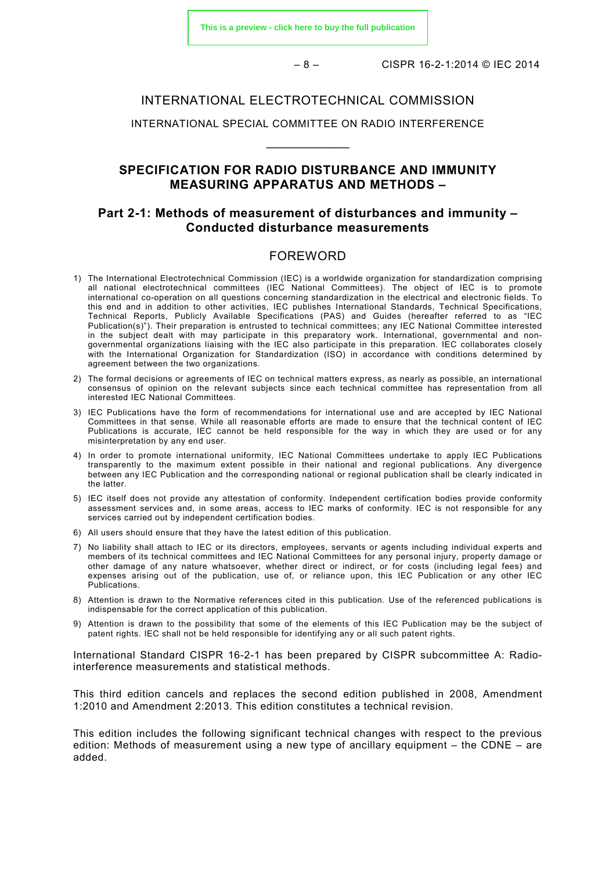– 8 – CISPR 16-2-1:2014 © IEC 2014

#### INTERNATIONAL ELECTROTECHNICAL COMMISSION

### INTERNATIONAL SPECIAL COMMITTEE ON RADIO INTERFERENCE  $\overline{\phantom{a}}$

#### **SPECIFICATION FOR RADIO DISTURBANCE AND IMMUNITY MEASURING APPARATUS AND METHODS –**

#### **Part 2-1: Methods of measurement of disturbances and immunity – Conducted disturbance measurements**

#### FOREWORD

- <span id="page-7-0"></span>1) The International Electrotechnical Commission (IEC) is a worldwide organization for standardization comprising all national electrotechnical committees (IEC National Committees). The object of IEC is to promote international co-operation on all questions concerning standardization in the electrical and electronic fields. To this end and in addition to other activities, IEC publishes International Standards, Technical Specifications, Technical Reports, Publicly Available Specifications (PAS) and Guides (hereafter referred to as "IEC Publication(s)"). Their preparation is entrusted to technical committees; any IEC National Committee interested in the subject dealt with may participate in this preparatory work. International, governmental and nongovernmental organizations liaising with the IEC also participate in this preparation. IEC collaborates closely with the International Organization for Standardization (ISO) in accordance with conditions determined by agreement between the two organizations.
- 2) The formal decisions or agreements of IEC on technical matters express, as nearly as possible, an international consensus of opinion on the relevant subjects since each technical committee has representation from all interested IEC National Committees.
- 3) IEC Publications have the form of recommendations for international use and are accepted by IEC National Committees in that sense. While all reasonable efforts are made to ensure that the technical content of IEC Publications is accurate, IEC cannot be held responsible for the way in which they are used or for any misinterpretation by any end user.
- 4) In order to promote international uniformity, IEC National Committees undertake to apply IEC Publications transparently to the maximum extent possible in their national and regional publications. Any divergence between any IEC Publication and the corresponding national or regional publication shall be clearly indicated in the latter.
- 5) IEC itself does not provide any attestation of conformity. Independent certification bodies provide conformity assessment services and, in some areas, access to IEC marks of conformity. IEC is not responsible for any services carried out by independent certification bodies.
- 6) All users should ensure that they have the latest edition of this publication.
- 7) No liability shall attach to IEC or its directors, employees, servants or agents including individual experts and members of its technical committees and IEC National Committees for any personal injury, property damage or other damage of any nature whatsoever, whether direct or indirect, or for costs (including legal fees) and expenses arising out of the publication, use of, or reliance upon, this IEC Publication or any other IEC Publications.
- 8) Attention is drawn to the Normative references cited in this publication. Use of the referenced publications is indispensable for the correct application of this publication.
- 9) Attention is drawn to the possibility that some of the elements of this IEC Publication may be the subject of patent rights. IEC shall not be held responsible for identifying any or all such patent rights.

International Standard CISPR 16-2-1 has been prepared by CISPR subcommittee A: Radiointerference measurements and statistical methods.

This third edition cancels and replaces the second edition published in 2008, Amendment 1:2010 and Amendment 2:2013. This edition constitutes a technical revision.

This edition includes the following significant technical changes with respect to the previous edition: Methods of measurement using a new type of ancillary equipment – the CDNE – are added.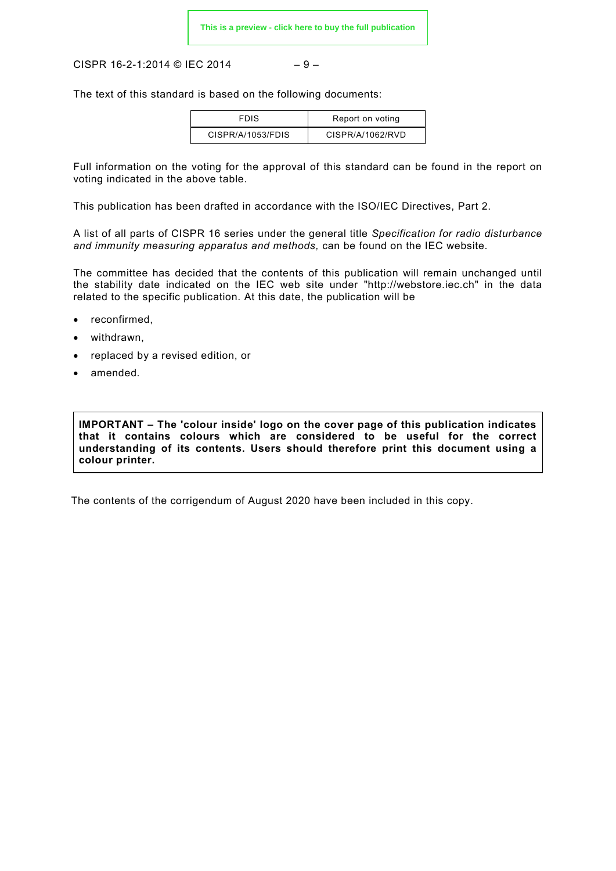CISPR 16-2-1:2014 © IEC 2014  $-9-$ 

The text of this standard is based on the following documents:

| <b>FDIS</b>       | Report on voting |  |  |
|-------------------|------------------|--|--|
| CISPR/A/1053/FDIS | CISPR/A/1062/RVD |  |  |

Full information on the voting for the approval of this standard can be found in the report on voting indicated in the above table.

This publication has been drafted in accordance with the ISO/IEC Directives, Part 2.

A list of all parts of CISPR 16 series under the general title *Specification for radio disturbance and immunity measuring apparatus and methods,* can be found on the IEC website.

The committee has decided that the contents of this publication will remain unchanged until the stability date indicated on the IEC web site under "http://webstore.iec.ch" in the data related to the specific publication. At this date, the publication will be

- reconfirmed,
- withdrawn.
- replaced by a revised edition, or
- amended.

**IMPORTANT – The 'colour inside' logo on the cover page of this publication indicates that it contains colours which are considered to be useful for the correct understanding of its contents. Users should therefore print this document using a colour printer.**

The contents of the corrigendum of August 2020 have been included in this copy.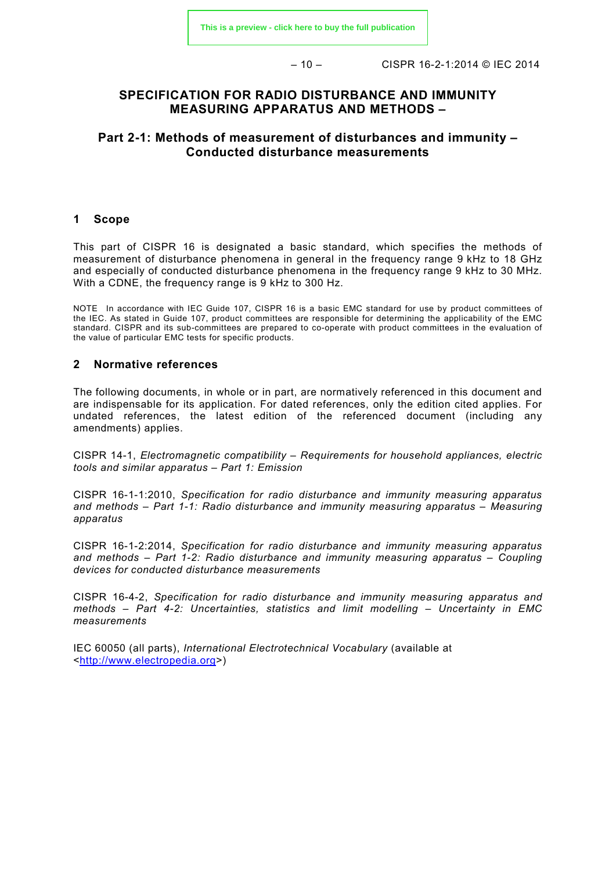– 10 – CISPR 16-2-1:2014 © IEC 2014

#### **SPECIFICATION FOR RADIO DISTURBANCE AND IMMUNITY MEASURING APPARATUS AND METHODS –**

#### **Part 2-1: Methods of measurement of disturbances and immunity – Conducted disturbance measurements**

#### <span id="page-9-0"></span>**1 Scope**

This part of CISPR 16 is designated a basic standard, which specifies the methods of measurement of disturbance phenomena in general in the frequency range 9 kHz to 18 GHz and especially of conducted disturbance phenomena in the frequency range 9 kHz to 30 MHz. With a CDNE, the frequency range is 9 kHz to 300 Hz.

NOTE In accordance with IEC Guide 107, CISPR 16 is a basic EMC standard for use by product committees of the IEC. As stated in Guide 107, product committees are responsible for determining the applicability of the EMC standard. CISPR and its sub-committees are prepared to co-operate with product committees in the evaluation of the value of particular EMC tests for specific products.

#### <span id="page-9-1"></span>**2 Normative references**

The following documents, in whole or in part, are normatively referenced in this document and are indispensable for its application. For dated references, only the edition cited applies. For undated references, the latest edition of the referenced document (including any amendments) applies.

CISPR 14-1, *Electromagnetic compatibility – Requirements for household appliances, electric tools and similar apparatus – Part 1: Emission*

CISPR 16-1-1:2010, *Specification for radio disturbance and immunity measuring apparatus and methods – Part 1-1: Radio disturbance and immunity measuring apparatus – Measuring apparatus*

CISPR 16-1-2:2014, *Specification for radio disturbance and immunity measuring apparatus and methods – Part 1-2: Radio disturbance and immunity measuring apparatus – Coupling devices for conducted disturbance measurements*

CISPR 16-4-2, *Specification for radio disturbance and immunity measuring apparatus and methods – Part 4-2: Uncertainties, statistics and limit modelling – Uncertainty in EMC measurements*

IEC 60050 (all parts), *International Electrotechnical Vocabulary* (available at [<http://www.electropedia.org>](http://www.electropedia.org/))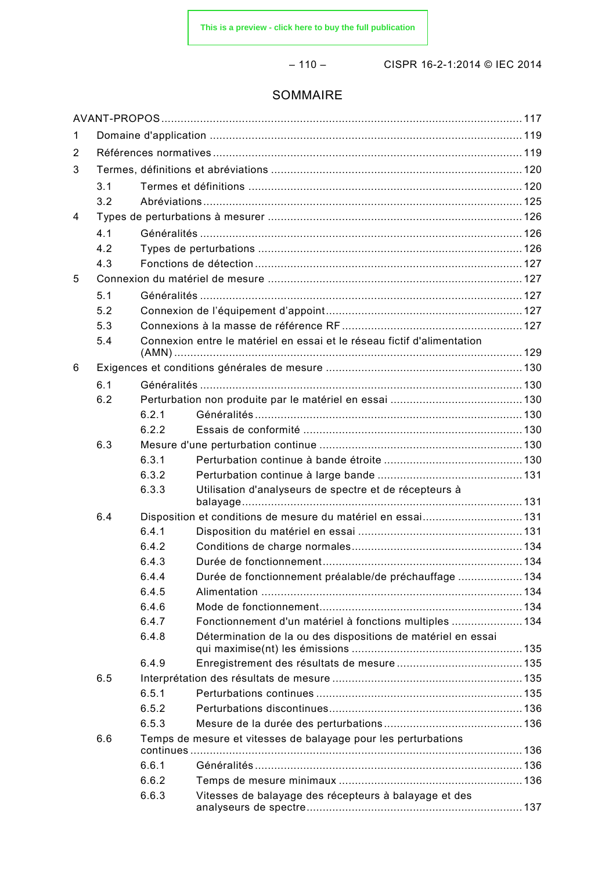– 110 – CISPR 16-2-1:2014 © IEC 2014

#### SOMMAIRE

| 1 |     |       |                                                                         |  |  |
|---|-----|-------|-------------------------------------------------------------------------|--|--|
| 2 |     |       |                                                                         |  |  |
| 3 |     |       |                                                                         |  |  |
|   | 3.1 |       |                                                                         |  |  |
|   | 3.2 |       |                                                                         |  |  |
| 4 |     |       |                                                                         |  |  |
|   | 4.1 |       |                                                                         |  |  |
|   | 4.2 |       |                                                                         |  |  |
|   | 4.3 |       |                                                                         |  |  |
| 5 |     |       |                                                                         |  |  |
|   | 5.1 |       |                                                                         |  |  |
|   | 5.2 |       |                                                                         |  |  |
|   | 5.3 |       |                                                                         |  |  |
|   | 5.4 |       | Connexion entre le matériel en essai et le réseau fictif d'alimentation |  |  |
| 6 |     |       |                                                                         |  |  |
|   | 6.1 |       |                                                                         |  |  |
|   | 6.2 |       |                                                                         |  |  |
|   |     | 6.2.1 |                                                                         |  |  |
|   |     | 6.2.2 |                                                                         |  |  |
|   | 6.3 |       |                                                                         |  |  |
|   |     | 6.3.1 |                                                                         |  |  |
|   |     | 6.3.2 |                                                                         |  |  |
|   |     | 6.3.3 | Utilisation d'analyseurs de spectre et de récepteurs à                  |  |  |
|   | 6.4 |       |                                                                         |  |  |
|   |     | 6.4.1 |                                                                         |  |  |
|   |     | 6.4.2 |                                                                         |  |  |
|   |     | 6.4.3 |                                                                         |  |  |
|   |     | 6.4.4 | Durée de fonctionnement préalable/de préchauffage  134                  |  |  |
|   |     | 6.4.5 |                                                                         |  |  |
|   |     | 6.4.6 |                                                                         |  |  |
|   |     | 6.4.7 | Fonctionnement d'un matériel à fonctions multiples  134                 |  |  |
|   |     | 6.4.8 | Détermination de la ou des dispositions de matériel en essai            |  |  |
|   |     | 6.4.9 |                                                                         |  |  |
|   | 6.5 |       |                                                                         |  |  |
|   |     | 6.5.1 |                                                                         |  |  |
|   |     | 6.5.2 |                                                                         |  |  |
|   |     | 6.5.3 |                                                                         |  |  |
|   | 6.6 |       | Temps de mesure et vitesses de balayage pour les perturbations          |  |  |
|   |     | 6.6.1 |                                                                         |  |  |
|   |     | 6.6.2 |                                                                         |  |  |
|   |     | 6.6.3 | Vitesses de balayage des récepteurs à balayage et des                   |  |  |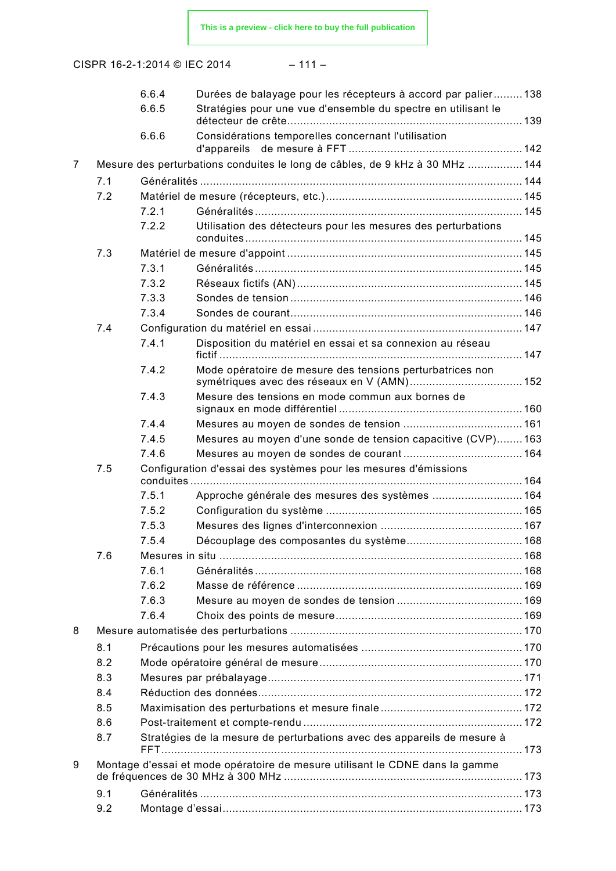**[This is a preview - click here to buy the full publication](https://webstore.iec.ch/publication/40&preview)**

|--|--|--|--|--|

|                |     | 6.6.4 | Durées de balayage pour les récepteurs à accord par palier138                |  |
|----------------|-----|-------|------------------------------------------------------------------------------|--|
|                |     | 6.6.5 | Stratégies pour une vue d'ensemble du spectre en utilisant le                |  |
|                |     | 6.6.6 | Considérations temporelles concernant l'utilisation                          |  |
|                |     |       |                                                                              |  |
| $\overline{7}$ |     |       | Mesure des perturbations conduites le long de câbles, de 9 kHz à 30 MHz 144  |  |
|                | 7.1 |       |                                                                              |  |
|                | 7.2 |       |                                                                              |  |
|                |     | 7.2.1 |                                                                              |  |
|                |     | 7.2.2 | Utilisation des détecteurs pour les mesures des perturbations                |  |
|                | 7.3 |       |                                                                              |  |
|                |     | 7.3.1 |                                                                              |  |
|                |     | 7.3.2 |                                                                              |  |
|                |     | 7.3.3 |                                                                              |  |
|                |     | 7.3.4 |                                                                              |  |
|                | 7.4 |       |                                                                              |  |
|                |     | 7.4.1 | Disposition du matériel en essai et sa connexion au réseau                   |  |
|                |     | 7.4.2 | Mode opératoire de mesure des tensions perturbatrices non                    |  |
|                |     | 7.4.3 | Mesure des tensions en mode commun aux bornes de                             |  |
|                |     |       |                                                                              |  |
|                |     | 7.4.4 |                                                                              |  |
|                |     | 7.4.5 | Mesures au moyen d'une sonde de tension capacitive (CVP)163                  |  |
|                |     | 7.4.6 |                                                                              |  |
|                | 7.5 |       | Configuration d'essai des systèmes pour les mesures d'émissions              |  |
|                |     | 7.5.1 |                                                                              |  |
|                |     | 7.5.2 |                                                                              |  |
|                |     | 7.5.3 |                                                                              |  |
|                |     | 7.5.4 |                                                                              |  |
|                | 7.6 |       |                                                                              |  |
|                |     | 7.6.1 |                                                                              |  |
|                |     | 7.6.2 |                                                                              |  |
|                |     | 7.6.3 |                                                                              |  |
|                |     | 7.6.4 |                                                                              |  |
| 8              |     |       |                                                                              |  |
|                | 8.1 |       |                                                                              |  |
|                | 8.2 |       |                                                                              |  |
|                | 8.3 |       |                                                                              |  |
|                | 8.4 |       |                                                                              |  |
|                | 8.5 |       |                                                                              |  |
|                | 8.6 |       |                                                                              |  |
|                | 8.7 |       | Stratégies de la mesure de perturbations avec des appareils de mesure à      |  |
| 9              |     |       | Montage d'essai et mode opératoire de mesure utilisant le CDNE dans la gamme |  |
|                | 9.1 |       |                                                                              |  |
|                | 9.2 |       |                                                                              |  |
|                |     |       |                                                                              |  |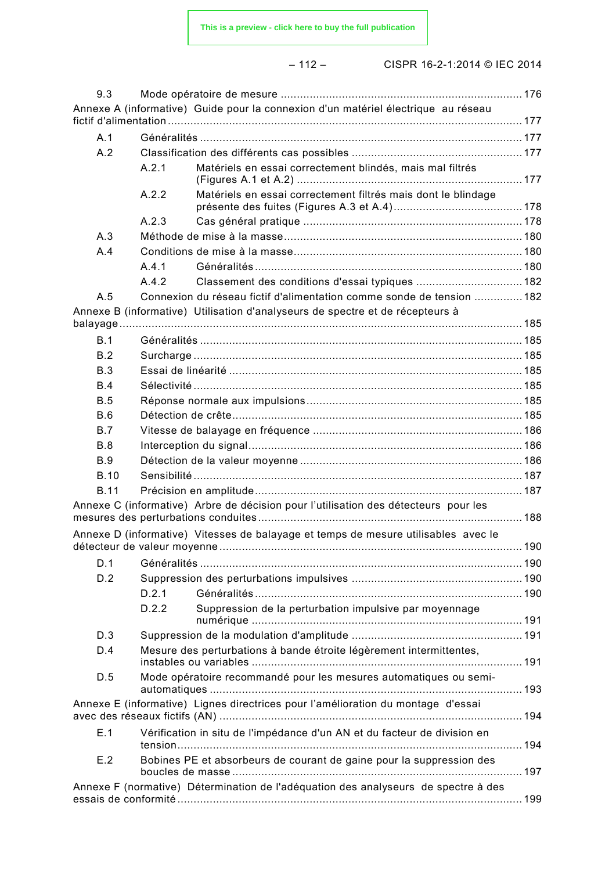**[This is a preview - click here to buy the full publication](https://webstore.iec.ch/publication/40&preview)**

|--|--|--|--|--|

| 9.3         |       |                                                                                     |  |
|-------------|-------|-------------------------------------------------------------------------------------|--|
|             |       | Annexe A (informative) Guide pour la connexion d'un matériel électrique au réseau   |  |
| A.1         |       |                                                                                     |  |
| A.2         |       |                                                                                     |  |
|             | A.2.1 | Matériels en essai correctement blindés, mais mal filtrés                           |  |
|             | A.2.2 | Matériels en essai correctement filtrés mais dont le blindage                       |  |
|             | A.2.3 |                                                                                     |  |
| A.3         |       |                                                                                     |  |
| A.4         |       |                                                                                     |  |
|             | A.4.1 |                                                                                     |  |
|             | A.4.2 |                                                                                     |  |
| A.5         |       | Connexion du réseau fictif d'alimentation comme sonde de tension  182               |  |
|             |       | Annexe B (informative) Utilisation d'analyseurs de spectre et de récepteurs à       |  |
| B.1         |       |                                                                                     |  |
| B.2         |       |                                                                                     |  |
| B.3         |       |                                                                                     |  |
| B.4         |       |                                                                                     |  |
| B.5         |       |                                                                                     |  |
| B.6         |       |                                                                                     |  |
| <b>B.7</b>  |       |                                                                                     |  |
| B.8         |       |                                                                                     |  |
| <b>B.9</b>  |       |                                                                                     |  |
| <b>B.10</b> |       |                                                                                     |  |
| <b>B.11</b> |       |                                                                                     |  |
|             |       | Annexe C (informative) Arbre de décision pour l'utilisation des détecteurs pour les |  |
|             |       | Annexe D (informative) Vitesses de balayage et temps de mesure utilisables avec le  |  |
| D.1         |       |                                                                                     |  |
| D.2         |       |                                                                                     |  |
|             | D.2.1 |                                                                                     |  |
|             | D.2.2 | Suppression de la perturbation impulsive par moyennage                              |  |
| D.3         |       |                                                                                     |  |
| D.4         |       | Mesure des perturbations à bande étroite légèrement intermittentes,                 |  |
| D.5         |       | Mode opératoire recommandé pour les mesures automatiques ou semi-                   |  |
|             |       | Annexe E (informative) Lignes directrices pour l'amélioration du montage d'essai    |  |
| E.1         |       | Vérification in situ de l'impédance d'un AN et du facteur de division en            |  |
| E.2         |       | Bobines PE et absorbeurs de courant de gaine pour la suppression des                |  |
|             |       | Annexe F (normative) Détermination de l'adéquation des analyseurs de spectre à des  |  |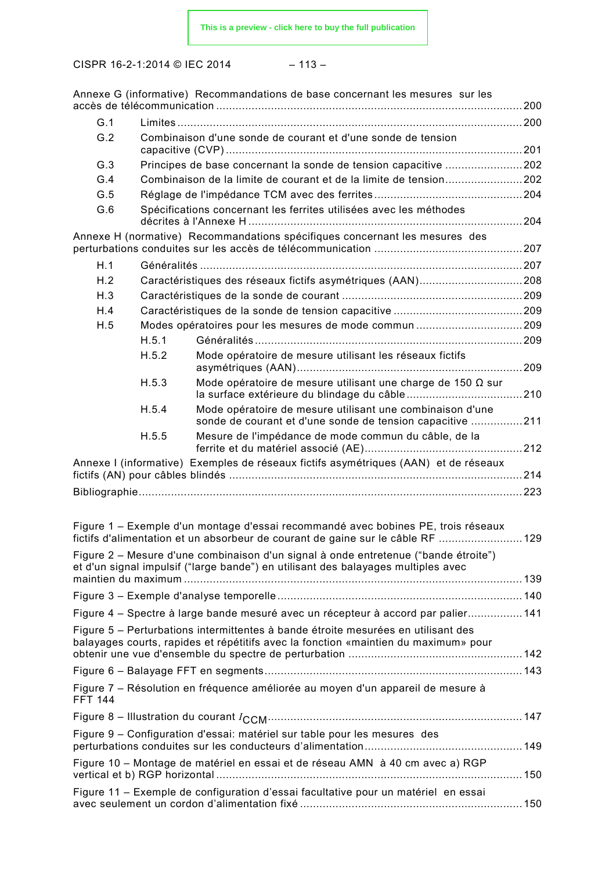$$
- 113 -
$$

|                                                                                  |                                                                 | Annexe G (informative) Recommandations de base concernant les mesures sur les                                                                                            |  |  |
|----------------------------------------------------------------------------------|-----------------------------------------------------------------|--------------------------------------------------------------------------------------------------------------------------------------------------------------------------|--|--|
| G.1                                                                              |                                                                 |                                                                                                                                                                          |  |  |
| G.2                                                                              | Combinaison d'une sonde de courant et d'une sonde de tension    |                                                                                                                                                                          |  |  |
| G.3                                                                              | Principes de base concernant la sonde de tension capacitive 202 |                                                                                                                                                                          |  |  |
| G.4                                                                              |                                                                 |                                                                                                                                                                          |  |  |
| G.5                                                                              |                                                                 |                                                                                                                                                                          |  |  |
| G.6                                                                              |                                                                 | Spécifications concernant les ferrites utilisées avec les méthodes                                                                                                       |  |  |
|                                                                                  |                                                                 | Annexe H (normative) Recommandations spécifiques concernant les mesures des                                                                                              |  |  |
| H.1                                                                              |                                                                 |                                                                                                                                                                          |  |  |
| H.2                                                                              |                                                                 |                                                                                                                                                                          |  |  |
| H.3                                                                              |                                                                 |                                                                                                                                                                          |  |  |
| H.4                                                                              |                                                                 |                                                                                                                                                                          |  |  |
| H.5                                                                              |                                                                 |                                                                                                                                                                          |  |  |
|                                                                                  | H.5.1                                                           |                                                                                                                                                                          |  |  |
|                                                                                  | H.5.2                                                           | Mode opératoire de mesure utilisant les réseaux fictifs                                                                                                                  |  |  |
|                                                                                  | H.5.3                                                           | Mode opératoire de mesure utilisant une charge de 150 $\Omega$ sur                                                                                                       |  |  |
|                                                                                  | H.5.4                                                           | Mode opératoire de mesure utilisant une combinaison d'une<br>sonde de courant et d'une sonde de tension capacitive 211                                                   |  |  |
|                                                                                  | H.5.5                                                           | Mesure de l'impédance de mode commun du câble, de la                                                                                                                     |  |  |
|                                                                                  |                                                                 | Annexe I (informative) Exemples de réseaux fictifs asymétriques (AAN) et de réseaux                                                                                      |  |  |
|                                                                                  |                                                                 |                                                                                                                                                                          |  |  |
|                                                                                  |                                                                 |                                                                                                                                                                          |  |  |
|                                                                                  |                                                                 |                                                                                                                                                                          |  |  |
|                                                                                  |                                                                 | Figure 1 - Exemple d'un montage d'essai recommandé avec bobines PE, trois réseaux<br>fictifs d'alimentation et un absorbeur de courant de gaine sur le câble RF  129     |  |  |
|                                                                                  |                                                                 | Figure 2 - Mesure d'une combinaison d'un signal à onde entretenue ("bande étroite")<br>et d'un signal impulsif ("large bande") en utilisant des balayages multiples avec |  |  |
|                                                                                  |                                                                 |                                                                                                                                                                          |  |  |
|                                                                                  |                                                                 |                                                                                                                                                                          |  |  |
| Figure 4 - Spectre à large bande mesuré avec un récepteur à accord par palier141 |                                                                 |                                                                                                                                                                          |  |  |
|                                                                                  |                                                                 | Figure 5 – Perturbations intermittentes à bande étroite mesurées en utilisant des<br>balayages courts, rapides et répétitifs avec la fonction «maintien du maximum» pour |  |  |
|                                                                                  |                                                                 |                                                                                                                                                                          |  |  |
| <b>FFT 144</b>                                                                   |                                                                 | Figure 7 – Résolution en fréquence améliorée au moyen d'un appareil de mesure à                                                                                          |  |  |
|                                                                                  |                                                                 |                                                                                                                                                                          |  |  |
|                                                                                  |                                                                 | Figure 9 - Configuration d'essai: matériel sur table pour les mesures des                                                                                                |  |  |
|                                                                                  |                                                                 | Figure 10 - Montage de matériel en essai et de réseau AMN à 40 cm avec a) RGP                                                                                            |  |  |
|                                                                                  |                                                                 | Figure 11 - Exemple de configuration d'essai facultative pour un matériel en essai                                                                                       |  |  |
|                                                                                  |                                                                 |                                                                                                                                                                          |  |  |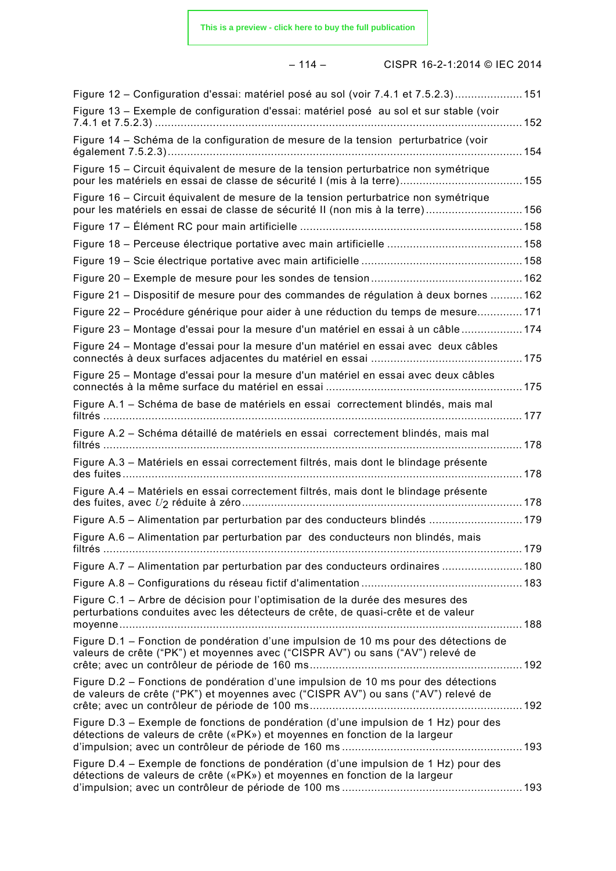#### – 114 – CISPR 16-2-1:2014 © IEC 2014

| Figure 12 - Configuration d'essai: matériel posé au sol (voir 7.4.1 et 7.5.2.3)151                                                                                      |  |
|-------------------------------------------------------------------------------------------------------------------------------------------------------------------------|--|
| Figure 13 - Exemple de configuration d'essai: matériel posé au sol et sur stable (voir                                                                                  |  |
| Figure 14 - Schéma de la configuration de mesure de la tension perturbatrice (voir                                                                                      |  |
| Figure 15 – Circuit équivalent de mesure de la tension perturbatrice non symétrique                                                                                     |  |
| Figure 16 – Circuit équivalent de mesure de la tension perturbatrice non symétrique<br>pour les matériels en essai de classe de sécurité II (non mis à la terre) 156    |  |
|                                                                                                                                                                         |  |
|                                                                                                                                                                         |  |
|                                                                                                                                                                         |  |
|                                                                                                                                                                         |  |
| Figure 21 - Dispositif de mesure pour des commandes de régulation à deux bornes  162                                                                                    |  |
| Figure 22 – Procédure générique pour aider à une réduction du temps de mesure 171                                                                                       |  |
| Figure 23 - Montage d'essai pour la mesure d'un matériel en essai à un câble  174                                                                                       |  |
| Figure 24 - Montage d'essai pour la mesure d'un matériel en essai avec deux câbles                                                                                      |  |
| Figure 25 - Montage d'essai pour la mesure d'un matériel en essai avec deux câbles                                                                                      |  |
| Figure A.1 - Schéma de base de matériels en essai correctement blindés, mais mal                                                                                        |  |
| Figure A.2 - Schéma détaillé de matériels en essai correctement blindés, mais mal                                                                                       |  |
| Figure A.3 - Matériels en essai correctement filtrés, mais dont le blindage présente                                                                                    |  |
| Figure A.4 - Matériels en essai correctement filtrés, mais dont le blindage présente                                                                                    |  |
| Figure A.5 - Alimentation par perturbation par des conducteurs blindés  179                                                                                             |  |
| Figure A.6 - Alimentation par perturbation par des conducteurs non blindés, mais                                                                                        |  |
| Figure A.7 - Alimentation par perturbation par des conducteurs ordinaires  180                                                                                          |  |
|                                                                                                                                                                         |  |
| Figure C.1 - Arbre de décision pour l'optimisation de la durée des mesures des<br>perturbations conduites avec les détecteurs de crête, de quasi-crête et de valeur     |  |
| Figure D.1 - Fonction de pondération d'une impulsion de 10 ms pour des détections de<br>valeurs de crête ("PK") et moyennes avec ("CISPR AV") ou sans ("AV") relevé de  |  |
| Figure D.2 – Fonctions de pondération d'une impulsion de 10 ms pour des détections<br>de valeurs de crête ("PK") et moyennes avec ("CISPR AV") ou sans ("AV") relevé de |  |
| Figure D.3 - Exemple de fonctions de pondération (d'une impulsion de 1 Hz) pour des<br>détections de valeurs de crête («PK») et moyennes en fonction de la largeur      |  |
| Figure D.4 – Exemple de fonctions de pondération (d'une impulsion de 1 Hz) pour des<br>détections de valeurs de crête («PK») et moyennes en fonction de la largeur      |  |
|                                                                                                                                                                         |  |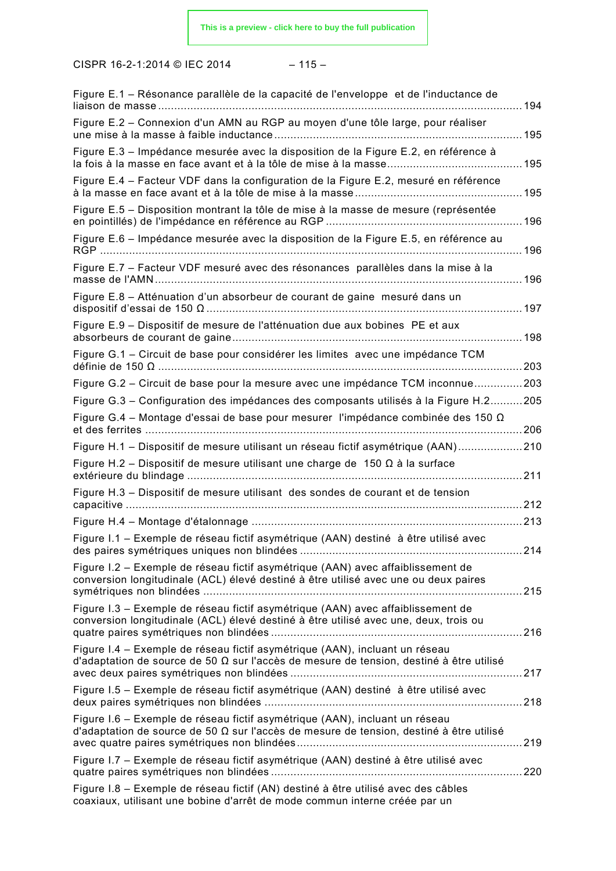|  |  |  | ۰.<br>× |  |
|--|--|--|---------|--|
|--|--|--|---------|--|

| Figure E.1 – Résonance parallèle de la capacité de l'enveloppe et de l'inductance de                                                                                          |     |
|-------------------------------------------------------------------------------------------------------------------------------------------------------------------------------|-----|
| Figure E.2 - Connexion d'un AMN au RGP au moyen d'une tôle large, pour réaliser                                                                                               |     |
| Figure E.3 - Impédance mesurée avec la disposition de la Figure E.2, en référence à                                                                                           |     |
| Figure E.4 – Facteur VDF dans la configuration de la Figure E.2, mesuré en référence                                                                                          |     |
| Figure E.5 - Disposition montrant la tôle de mise à la masse de mesure (représentée                                                                                           |     |
| Figure E.6 - Impédance mesurée avec la disposition de la Figure E.5, en référence au                                                                                          |     |
| Figure E.7 - Facteur VDF mesuré avec des résonances parallèles dans la mise à la                                                                                              |     |
| Figure E.8 - Atténuation d'un absorbeur de courant de gaine mesuré dans un                                                                                                    |     |
| Figure E.9 - Dispositif de mesure de l'atténuation due aux bobines PE et aux                                                                                                  |     |
| Figure G.1 - Circuit de base pour considérer les limites avec une impédance TCM                                                                                               |     |
| Figure G.2 - Circuit de base pour la mesure avec une impédance TCM inconnue203                                                                                                |     |
| Figure G.3 - Configuration des impédances des composants utilisés à la Figure H.2205                                                                                          |     |
| Figure G.4 - Montage d'essai de base pour mesurer l'impédance combinée des 150 $\Omega$                                                                                       |     |
| Figure H.1 - Dispositif de mesure utilisant un réseau fictif asymétrique (AAN)210                                                                                             |     |
| Figure H.2 – Dispositif de mesure utilisant une charge de 150 $\Omega$ à la surface                                                                                           | 211 |
| Figure H.3 - Dispositif de mesure utilisant des sondes de courant et de tension                                                                                               |     |
|                                                                                                                                                                               | 213 |
| Figure I.1 – Exemple de réseau fictif asymétrique (AAN) destiné à être utilisé avec                                                                                           |     |
| Figure I.2 – Exemple de réseau fictif asymétrique (AAN) avec affaiblissement de<br>conversion longitudinale (ACL) élevé destiné à être utilisé avec une ou deux paires        |     |
| Figure I.3 – Exemple de réseau fictif asymétrique (AAN) avec affaiblissement de<br>conversion longitudinale (ACL) élevé destiné à être utilisé avec une, deux, trois ou       |     |
| Figure I.4 – Exemple de réseau fictif asymétrique (AAN), incluant un réseau<br>d'adaptation de source de 50 $\Omega$ sur l'accès de mesure de tension, destiné à être utilisé |     |
| Figure I.5 - Exemple de réseau fictif asymétrique (AAN) destiné à être utilisé avec                                                                                           |     |
| Figure I.6 – Exemple de réseau fictif asymétrique (AAN), incluant un réseau<br>d'adaptation de source de 50 $\Omega$ sur l'accès de mesure de tension, destiné à être utilisé |     |
| Figure I.7 - Exemple de réseau fictif asymétrique (AAN) destiné à être utilisé avec                                                                                           |     |
| Figure I.8 - Exemple de réseau fictif (AN) destiné à être utilisé avec des câbles<br>coaxiaux, utilisant une bobine d'arrêt de mode commun interne créée par un               |     |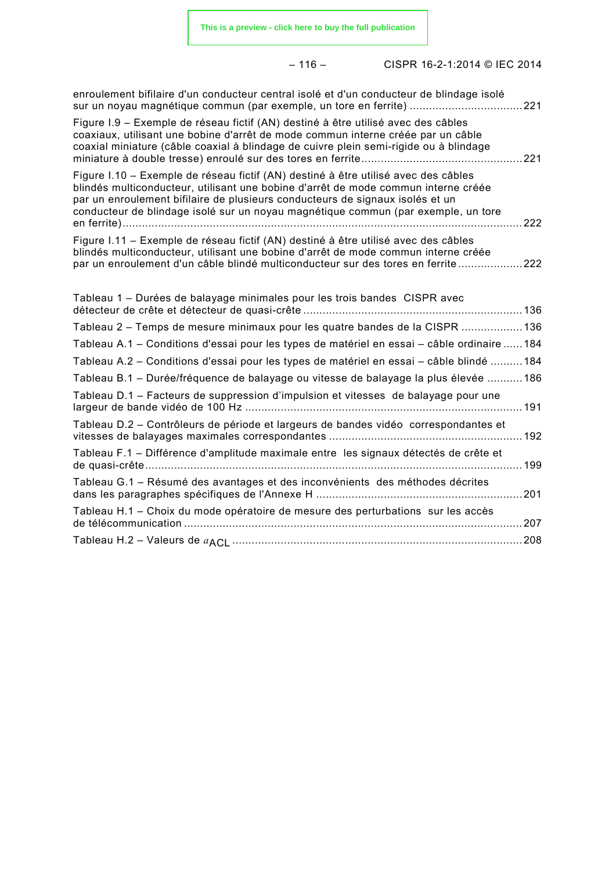– 116 – CISPR 16-2-1:2014 © IEC 2014

| enroulement bifilaire d'un conducteur central isolé et d'un conducteur de blindage isolé<br>sur un noyau magnétique commun (par exemple, un tore en ferrite) 221                                                                                                                                                                               |     |
|------------------------------------------------------------------------------------------------------------------------------------------------------------------------------------------------------------------------------------------------------------------------------------------------------------------------------------------------|-----|
| Figure I.9 – Exemple de réseau fictif (AN) destiné à être utilisé avec des câbles<br>coaxiaux, utilisant une bobine d'arrêt de mode commun interne créée par un câble<br>coaxial miniature (câble coaxial à blindage de cuivre plein semi-rigide ou à blindage                                                                                 |     |
| Figure I.10 – Exemple de réseau fictif (AN) destiné à être utilisé avec des câbles<br>blindés multiconducteur, utilisant une bobine d'arrêt de mode commun interne créée<br>par un enroulement bifilaire de plusieurs conducteurs de signaux isolés et un<br>conducteur de blindage isolé sur un noyau magnétique commun (par exemple, un tore | 222 |
| Figure I.11 – Exemple de réseau fictif (AN) destiné à être utilisé avec des câbles<br>blindés multiconducteur, utilisant une bobine d'arrêt de mode commun interne créée<br>par un enroulement d'un câble blindé multiconducteur sur des tores en ferrite                                                                                      | 222 |
| Tableau 1 – Durées de balayage minimales pour les trois bandes CISPR avec                                                                                                                                                                                                                                                                      |     |
| Tableau 2 – Temps de mesure minimaux pour les quatre bandes de la CISPR 136                                                                                                                                                                                                                                                                    |     |
| Tableau A.1 - Conditions d'essai pour les types de matériel en essai - câble ordinaire  184                                                                                                                                                                                                                                                    |     |
| Tableau A.2 - Conditions d'essai pour les types de matériel en essai - câble blindé  184                                                                                                                                                                                                                                                       |     |
| Tableau B.1 - Durée/fréquence de balayage ou vitesse de balayage la plus élevée  186                                                                                                                                                                                                                                                           |     |
| Tableau D.1 – Facteurs de suppression d'impulsion et vitesses de balayage pour une                                                                                                                                                                                                                                                             |     |
| Tableau D.2 – Contrôleurs de période et largeurs de bandes vidéo correspondantes et                                                                                                                                                                                                                                                            |     |
| Tableau F.1 - Différence d'amplitude maximale entre les signaux détectés de crête et                                                                                                                                                                                                                                                           |     |
| Tableau G.1 - Résumé des avantages et des inconvénients des méthodes décrites                                                                                                                                                                                                                                                                  | 201 |
| Tableau H.1 - Choix du mode opératoire de mesure des perturbations sur les accès                                                                                                                                                                                                                                                               | 207 |
|                                                                                                                                                                                                                                                                                                                                                |     |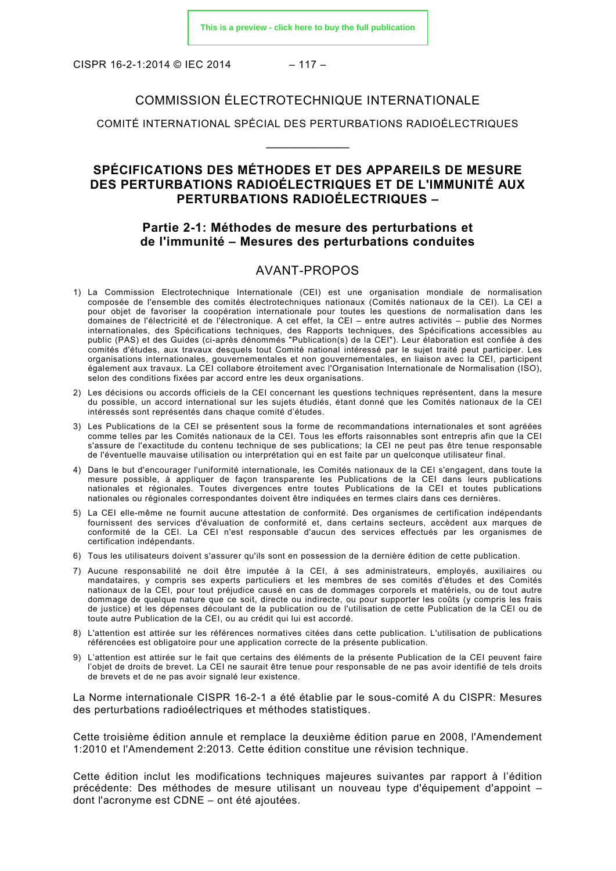CISPR 16-2-1:2014 © IEC 2014 – 117 –

#### COMMISSION ÉLECTROTECHNIQUE INTERNATIONALE

COMITÉ INTERNATIONAL SPÉCIAL DES PERTURBATIONS RADIOÉLECTRIQUES  $\overline{\phantom{a}}$ 

#### **SPÉCIFICATIONS DES MÉTHODES ET DES APPAREILS DE MESURE DES PERTURBATIONS RADIOÉLECTRIQUES ET DE L'IMMUNITÉ AUX PERTURBATIONS RADIOÉLECTRIQUES –**

#### **Partie 2-1: Méthodes de mesure des perturbations et de l'immunité – Mesures des perturbations conduites**

#### AVANT-PROPOS

- <span id="page-17-0"></span>1) La Commission Electrotechnique Internationale (CEI) est une organisation mondiale de normalisation composée de l'ensemble des comités électrotechniques nationaux (Comités nationaux de la CEI). La CEI a pour objet de favoriser la coopération internationale pour toutes les questions de normalisation dans les domaines de l'électricité et de l'électronique. A cet effet, la CEI – entre autres activités – publie des Normes internationales, des Spécifications techniques, des Rapports techniques, des Spécifications accessibles au public (PAS) et des Guides (ci-après dénommés "Publication(s) de la CEI"). Leur élaboration est confiée à des comités d'études, aux travaux desquels tout Comité national intéressé par le sujet traité peut participer. Les organisations internationales, gouvernementales et non gouvernementales, en liaison avec la CEI, participent également aux travaux. La CEI collabore étroitement avec l'Organisation Internationale de Normalisation (ISO), selon des conditions fixées par accord entre les deux organisations.
- 2) Les décisions ou accords officiels de la CEI concernant les questions techniques représentent, dans la mesure du possible, un accord international sur les sujets étudiés, étant donné que les Comités nationaux de la CEI intéressés sont représentés dans chaque comité d'études.
- 3) Les Publications de la CEI se présentent sous la forme de recommandations internationales et sont agréées comme telles par les Comités nationaux de la CEI. Tous les efforts raisonnables sont entrepris afin que la CEI s'assure de l'exactitude du contenu technique de ses publications; la CEI ne peut pas être tenue responsable de l'éventuelle mauvaise utilisation ou interprétation qui en est faite par un quelconque utilisateur final.
- 4) Dans le but d'encourager l'uniformité internationale, les Comités nationaux de la CEI s'engagent, dans toute la mesure possible, à appliquer de façon transparente les Publications de la CEI dans leurs publications nationales et régionales. Toutes divergences entre toutes Publications de la CEI et toutes publications nationales ou régionales correspondantes doivent être indiquées en termes clairs dans ces dernières.
- 5) La CEI elle-même ne fournit aucune attestation de conformité. Des organismes de certification indépendants fournissent des services d'évaluation de conformité et, dans certains secteurs, accèdent aux marques de conformité de la CEI. La CEI n'est responsable d'aucun des services effectués par les organismes de certification indépendants.
- 6) Tous les utilisateurs doivent s'assurer qu'ils sont en possession de la dernière édition de cette publication.
- 7) Aucune responsabilité ne doit être imputée à la CEI, à ses administrateurs, employés, auxiliaires ou mandataires, y compris ses experts particuliers et les membres de ses comités d'études et des Comités nationaux de la CEI, pour tout préjudice causé en cas de dommages corporels et matériels, ou de tout autre dommage de quelque nature que ce soit, directe ou indirecte, ou pour supporter les coûts (y compris les frais de justice) et les dépenses découlant de la publication ou de l'utilisation de cette Publication de la CEI ou de toute autre Publication de la CEI, ou au crédit qui lui est accordé.
- 8) L'attention est attirée sur les références normatives citées dans cette publication. L'utilisation de publications référencées est obligatoire pour une application correcte de la présente publication.
- 9) L'attention est attirée sur le fait que certains des éléments de la présente Publication de la CEI peuvent faire l'objet de droits de brevet. La CEI ne saurait être tenue pour responsable de ne pas avoir identifié de tels droits de brevets et de ne pas avoir signalé leur existence.

La Norme internationale CISPR 16-2-1 a été établie par le sous-comité A du CISPR: Mesures des perturbations radioélectriques et méthodes statistiques.

Cette troisième édition annule et remplace la deuxième édition parue en 2008, l'Amendement 1:2010 et l'Amendement 2:2013. Cette édition constitue une révision technique.

Cette édition inclut les modifications techniques majeures suivantes par rapport à l'édition précédente: Des méthodes de mesure utilisant un nouveau type d'équipement d'appoint – dont l'acronyme est CDNE – ont été ajoutées.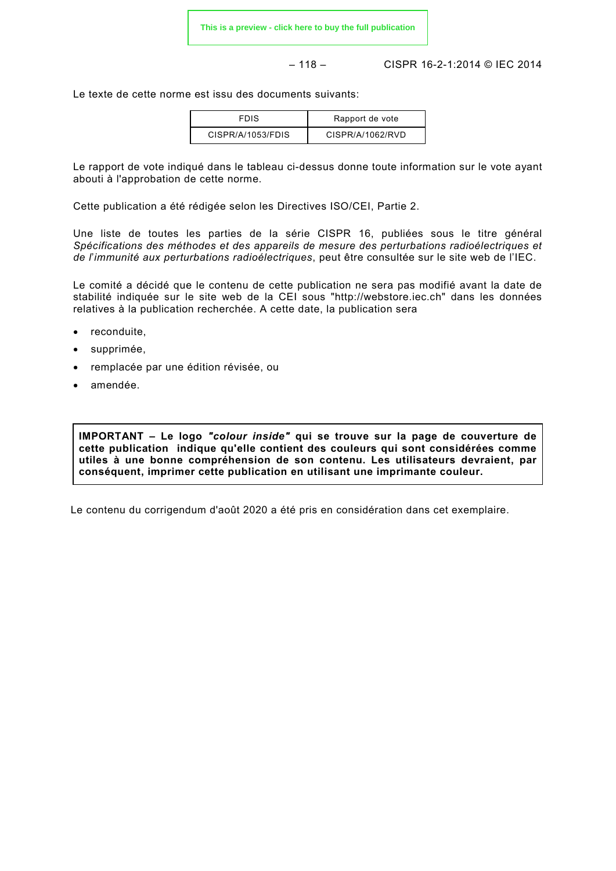$$
- 118 -
$$

– 118 – CISPR 16-2-1:2014 © IEC 2014

Le texte de cette norme est issu des documents suivants:

| <b>FDIS</b>       | Rapport de vote  |
|-------------------|------------------|
| CISPR/A/1053/FDIS | CISPR/A/1062/RVD |

Le rapport de vote indiqué dans le tableau ci-dessus donne toute information sur le vote ayant abouti à l'approbation de cette norme.

Cette publication a été rédigée selon les Directives ISO/CEI, Partie 2.

Une liste de toutes les parties de la série CISPR 16, publiées sous le titre général *Spécifications des méthodes et des appareils de mesure des perturbations radioélectriques et de l*'*immunité aux perturbations radioélectriques*, peut être consultée sur le site web de l'IEC.

Le comité a décidé que le contenu de cette publication ne sera pas modifié avant la date de stabilité indiquée sur le site web de la CEI sous "http://webstore.iec.ch" dans les données relatives à la publication recherchée. A cette date, la publication sera

- reconduite,
- supprimée,
- remplacée par une édition révisée, ou
- amendée.

**IMPORTANT – Le logo** *"colour inside"* **qui se trouve sur la page de couverture de cette publication indique qu'elle contient des couleurs qui sont considérées comme utiles à une bonne compréhension de son contenu. Les utilisateurs devraient, par conséquent, imprimer cette publication en utilisant une imprimante couleur.**

Le contenu du corrigendum d'août 2020 a été pris en considération dans cet exemplaire.